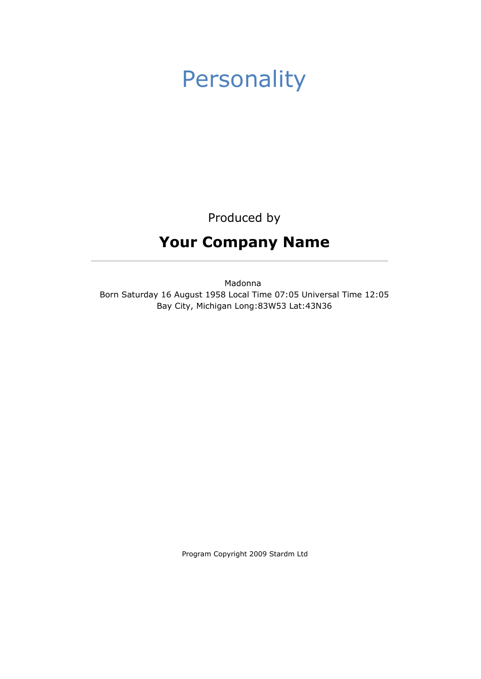# Personality

Produced by

# Your Company Name

Madonna Born Saturday 16 August 1958 Local Time 07:05 Universal Time 12:05 Bay City, Michigan Long:83W53 Lat:43N36

Program Copyright 2009 Stardm Ltd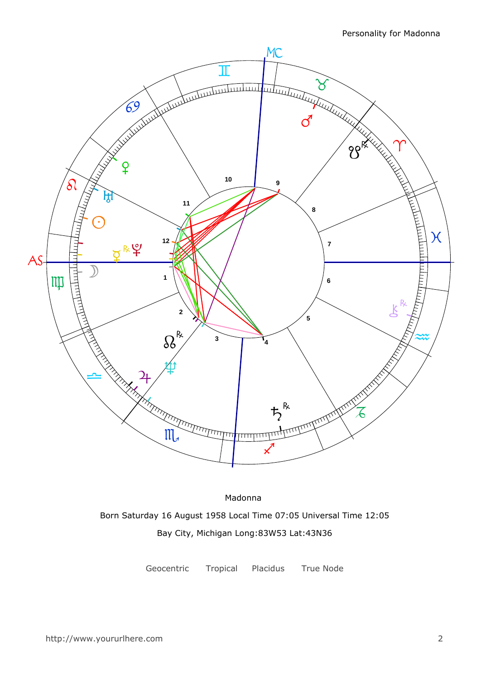

Madonna Born Saturday 16 August 1958 Local Time 07:05 Universal Time 12:05 Bay City, Michigan Long:83W53 Lat:43N36

Geocentric Tropical Placidus True Node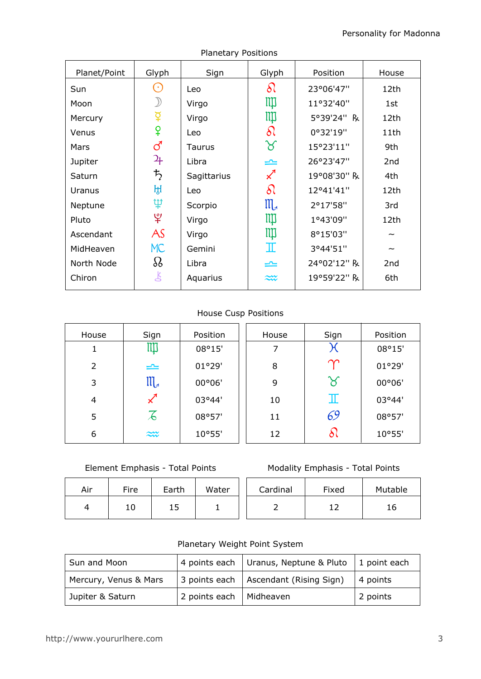| Planet/Point | Glyph                       | Sign        | Glyph                      | Position    | House           |
|--------------|-----------------------------|-------------|----------------------------|-------------|-----------------|
| Sun          | $(\,\cdot\,)$               | Leo         | $\delta l$                 | 23°06'47"   | 12th            |
| Moon         |                             | Virgo       | IIII                       | 11°32'40"   | 1st             |
| Mercury      | $\breve{\mathrm{P}}$        | Virgo       | Щ                          | 5°39'24" R  | 12th            |
| Venus        | ¥                           | Leo         | $\delta\Omega$             | 0°32'19"    | 11th            |
| Mars         | ර                           | Taurus      | ୪                          | 15°23'11"   | 9th             |
| Jupiter      | $\mathfrak{P}_{\mathsf{F}}$ | Libra       | ≏                          | 26°23'47"   | 2nd             |
| Saturn       | $\bm{\mathit{t}}$           | Sagittarius | $\boldsymbol{\mathcal{Z}}$ | 19°08'30" R | 4th             |
| Uranus       | ਮ੍ਹਿ                        | Leo         | $\delta\Omega$             | 12°41'41"   | 12th            |
| Neptune      | Ψ                           | Scorpio     | $\mathfrak{m}$             | 2°17'58"    | 3rd             |
| Pluto        | $\mathfrak{P}$              | Virgo       | ЩI                         | 1°43'09"    | 12th            |
| Ascendant    | AS                          | Virgo       | ЩI                         | 8°15'03"    |                 |
| MidHeaven    | <b>MC</b>                   | Gemini      | I                          | 3°44'51"    |                 |
| North Node   | $\Omega$                    | Libra       | ک                          | 24°02'12" R | 2 <sub>nd</sub> |
| Chiron       | 飞                           | Aquarius    | ₩                          | 19°59'22" R | 6th             |
|              |                             |             |                            |             |                 |

## Planetary Positions

## House Cusp Positions

| House          | Sign                 | Position | House | Sign          | Position |
|----------------|----------------------|----------|-------|---------------|----------|
|                | Щ                    | 08°15'   |       | Ж             | 08°15'   |
| $\overline{2}$ | $\rightleftharpoons$ | 01°29'   | 8     | $\bm{\gamma}$ | 01°29'   |
| 3              | ${\mathfrak m}$      | 00°06'   | 9     | ୪             | 00°06'   |
| 4              |                      | 03°44'   | 10    | Ш             | 03°44'   |
| 5              | 石                    | 08°57'   | 11    | 69            | 08°57'   |
| 6              | $\widetilde{\sim}$   | 10°55'   | 12    | ð١            | 10°55'   |

## Element Emphasis - Total Points

| Air | Fire | Earth | Water | Cardinal | Fixed | Mutal |
|-----|------|-------|-------|----------|-------|-------|
|     | 10   | ᅩ     |       |          |       | 16    |

## Modality Emphasis - Total Points

| Cardinal | Fixed | Mutable |
|----------|-------|---------|
|          |       | 16      |

## Planetary Weight Point System

| Sun and Moon          |               | 4 points each   Uranus, Neptune & Pluto | $\vert$ 1 point each |  |
|-----------------------|---------------|-----------------------------------------|----------------------|--|
| Mercury, Venus & Mars |               | 3 points each   Ascendant (Rising Sign) | $\vert$ 4 points     |  |
| Jupiter & Saturn      | 2 points each | Midheaven                               | 2 points             |  |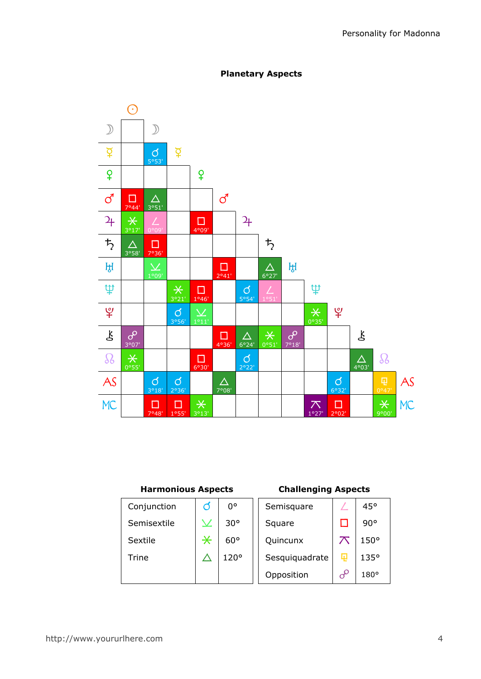

## Planetary Aspects

## Harmonious Aspects

## Challenging Aspects

| Conjunction | O      | 0°           | Semisquare     |          | 45°          |
|-------------|--------|--------------|----------------|----------|--------------|
| Semisextile |        | $30^{\circ}$ | Square         |          | $90^{\circ}$ |
| Sextile     | $\ast$ | $60^{\circ}$ | Quincunx       | ᅎ        | $150^\circ$  |
| Trine       |        | 120°         | Sesquiquadrate | 曱        | 135°         |
|             |        |              | Opposition     | $\sigma$ | $180^\circ$  |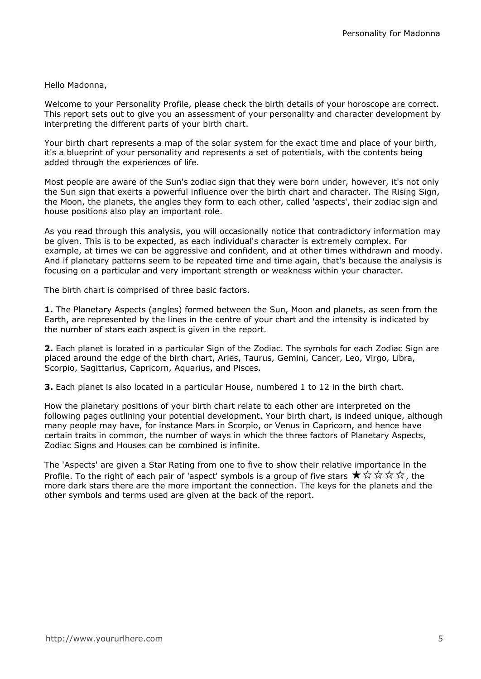## Hello Madonna,

Welcome to your Personality Profile, please check the birth details of your horoscope are correct. This report sets out to give you an assessment of your personality and character development by interpreting the different parts of your birth chart.

Your birth chart represents a map of the solar system for the exact time and place of your birth, it's a blueprint of your personality and represents a set of potentials, with the contents being added through the experiences of life.

Most people are aware of the Sun's zodiac sign that they were born under, however, it's not only the Sun sign that exerts a powerful influence over the birth chart and character. The Rising Sign, the Moon, the planets, the angles they form to each other, called 'aspects', their zodiac sign and house positions also play an important role.

As you read through this analysis, you will occasionally notice that contradictory information may be given. This is to be expected, as each individual's character is extremely complex. For example, at times we can be aggressive and confident, and at other times withdrawn and moody. And if planetary patterns seem to be repeated time and time again, that's because the analysis is focusing on a particular and very important strength or weakness within your character.

The birth chart is comprised of three basic factors.

**1.** The Planetary Aspects (angles) formed between the Sun, Moon and planets, as seen from the Earth, are represented by the lines in the centre of your chart and the intensity is indicated by the number of stars each aspect is given in the report.

2. Each planet is located in a particular Sign of the Zodiac. The symbols for each Zodiac Sign are placed around the edge of the birth chart, Aries, Taurus, Gemini, Cancer, Leo, Virgo, Libra, Scorpio, Sagittarius, Capricorn, Aquarius, and Pisces.

**3.** Each planet is also located in a particular House, numbered 1 to 12 in the birth chart.

How the planetary positions of your birth chart relate to each other are interpreted on the following pages outlining your potential development. Your birth chart, is indeed unique, although many people may have, for instance Mars in Scorpio, or Venus in Capricorn, and hence have certain traits in common, the number of ways in which the three factors of Planetary Aspects, Zodiac Signs and Houses can be combined is infinite.

The 'Aspects' are given a Star Rating from one to five to show their relative importance in the Profile. To the right of each pair of 'aspect' symbols is a group of five stars  $\star \times \star \star \star$ , the more dark stars there are the more important the connection. The keys for the planets and the other symbols and terms used are given at the back of the report.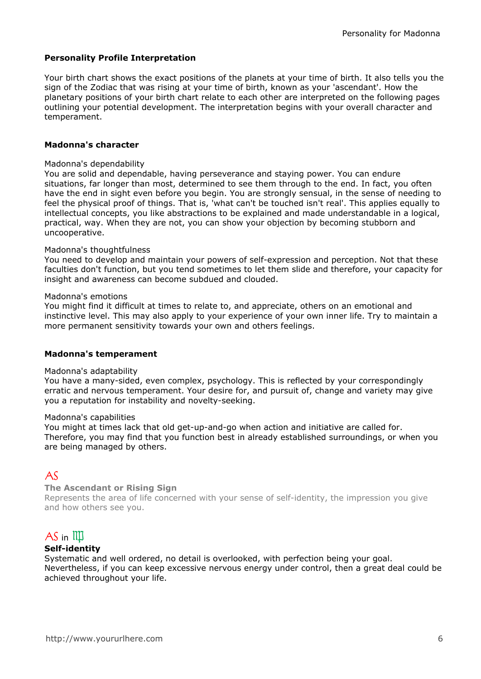#### Personality Profile Interpretation

Your birth chart shows the exact positions of the planets at your time of birth. It also tells you the sign of the Zodiac that was rising at your time of birth, known as your 'ascendant'. How the planetary positions of your birth chart relate to each other are interpreted on the following pages outlining your potential development. The interpretation begins with your overall character and temperament.

#### Madonna's character

#### Madonna's dependability

You are solid and dependable, having perseverance and staying power. You can endure situations, far longer than most, determined to see them through to the end. In fact, you often have the end in sight even before you begin. You are strongly sensual, in the sense of needing to feel the physical proof of things. That is, 'what can't be touched isn't real'. This applies equally to intellectual concepts, you like abstractions to be explained and made understandable in a logical. practical, way. When they are not, you can show your objection by becoming stubborn and uncooperative.

#### Madonna's thoughtfulness

You need to develop and maintain your powers of self-expression and perception. Not that these faculties don't function, but you tend sometimes to let them slide and therefore, your capacity for insight and awareness can become subdued and clouded.

#### Madonna's emotions

You might find it difficult at times to relate to, and appreciate, others on an emotional and instinctive level. This may also apply to your experience of your own inner life. Try to maintain a more permanent sensitivity towards your own and others feelings.

#### Madonna's temperament

#### Madonna's adaptability

You have a many-sided, even complex, psychology. This is reflected by your correspondingly erratic and nervous temperament. Your desire for, and pursuit of, change and variety may give you a reputation for instability and novelty-seeking.

#### Madonna's capabilities

You might at times lack that old get-up-and-go when action and initiative are called for. Therefore, you may find that you function best in already established surroundings, or when you are being managed by others.

## $A\zeta$

#### The Ascendant or Rising Sign

Represents the area of life concerned with your sense of self-identity, the impression you give and how others see you.

## $AS$  in  $III$

#### Self-identity

Systematic and well ordered, no detail is overlooked, with perfection being your goal. Nevertheless, if you can keep excessive nervous energy under control, then a great deal could be achieved throughout your life.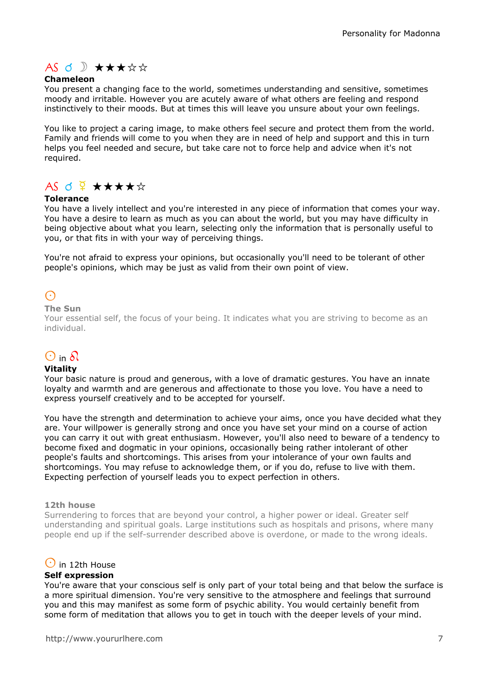# $AS \nI$   $\mathcal{A}$   $\star$   $\star$   $\star$   $\star$   $\star$

## Chameleon

You present a changing face to the world, sometimes understanding and sensitive, sometimes moody and irritable. However you are acutely aware of what others are feeling and respond instinctively to their moods. But at times this will leave you unsure about your own feelings.

You like to project a caring image, to make others feel secure and protect them from the world. Family and friends will come to you when they are in need of help and support and this in turn helps you feel needed and secure, but take care not to force help and advice when it's not required.

# $AS$  d  $\frac{Q}{4}$   $\star\star\star\star\star$

## Tolerance

You have a lively intellect and you're interested in any piece of information that comes your way. You have a desire to learn as much as you can about the world, but you may have difficulty in being objective about what you learn, selecting only the information that is personally useful to you, or that fits in with your way of perceiving things.

You're not afraid to express your opinions, but occasionally you'll need to be tolerant of other people's opinions, which may be just as valid from their own point of view.

# $\odot$

#### The Sun

Your essential self, the focus of your being. It indicates what you are striving to become as an individual.

# $\odot$  in  $\delta$

#### Vitality

Your basic nature is proud and generous, with a love of dramatic gestures. You have an innate loyalty and warmth and are generous and affectionate to those you love. You have a need to express yourself creatively and to be accepted for yourself.

You have the strength and determination to achieve your aims, once you have decided what they are. Your willpower is generally strong and once you have set your mind on a course of action you can carry it out with great enthusiasm. However, you'll also need to beware of a tendency to become fixed and dogmatic in your opinions, occasionally being rather intolerant of other people's faults and shortcomings. This arises from your intolerance of your own faults and shortcomings. You may refuse to acknowledge them, or if you do, refuse to live with them. Expecting perfection of yourself leads you to expect perfection in others.

#### 12th house

Surrendering to forces that are beyond your control, a higher power or ideal. Greater self understanding and spiritual goals. Large institutions such as hospitals and prisons, where many people end up if the self-surrender described above is overdone, or made to the wrong ideals.

## $\odot$  in 12th House

#### Self expression

You're aware that your conscious self is only part of your total being and that below the surface is a more spiritual dimension. You're very sensitive to the atmosphere and feelings that surround you and this may manifest as some form of psychic ability. You would certainly benefit from some form of meditation that allows you to get in touch with the deeper levels of your mind.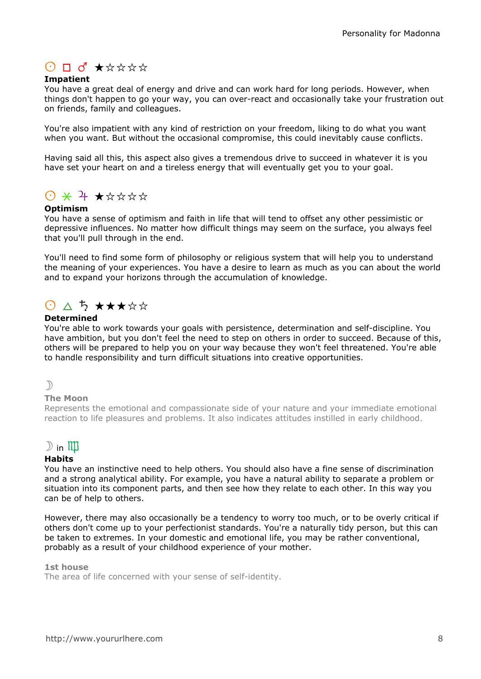# $O$   $\Box$   $\sigma$   $\star$   $\star$   $\star$   $\star$   $\star$

## Impatient

You have a great deal of energy and drive and can work hard for long periods. However, when things don't happen to go your way, you can over-react and occasionally take your frustration out on friends, family and colleagues.

You're also impatient with any kind of restriction on your freedom, liking to do what you want when you want. But without the occasional compromise, this could inevitably cause conflicts.

Having said all this, this aspect also gives a tremendous drive to succeed in whatever it is you have set your heart on and a tireless energy that will eventually get you to your goal.

# $0$   $\times$   $4$   $\times$   $\star$   $\star$   $\star$   $\star$

## Optimism

You have a sense of optimism and faith in life that will tend to offset any other pessimistic or depressive influences. No matter how difficult things may seem on the surface, you always feel that you'll pull through in the end.

You'll need to find some form of philosophy or religious system that will help you to understand the meaning of your experiences. You have a desire to learn as much as you can about the world and to expand your horizons through the accumulation of knowledge.

# $\bigcirc$   $\bigcirc$   $\bigcirc$   $\bigstar$   $\star$   $\star$   $\star$   $\star$   $\star$

## **Determined**

You're able to work towards your goals with persistence, determination and self-discipline. You have ambition, but you don't feel the need to step on others in order to succeed. Because of this, others will be prepared to help you on your way because they won't feel threatened. You're able to handle responsibility and turn difficult situations into creative opportunities.

## $\mathcal{D}$

#### The Moon

Represents the emotional and compassionate side of your nature and your immediate emotional reaction to life pleasures and problems. It also indicates attitudes instilled in early childhood.

## $\mathbb{D}$  in  $\mathbb{I}\mathbb{I}\mathbb{J}$

#### **Habits**

You have an instinctive need to help others. You should also have a fine sense of discrimination and a strong analytical ability. For example, you have a natural ability to separate a problem or situation into its component parts, and then see how they relate to each other. In this way you can be of help to others.

However, there may also occasionally be a tendency to worry too much, or to be overly critical if others don't come up to your perfectionist standards. You're a naturally tidy person, but this can be taken to extremes. In your domestic and emotional life, you may be rather conventional, probably as a result of your childhood experience of your mother.

#### 1st house

The area of life concerned with your sense of self-identity.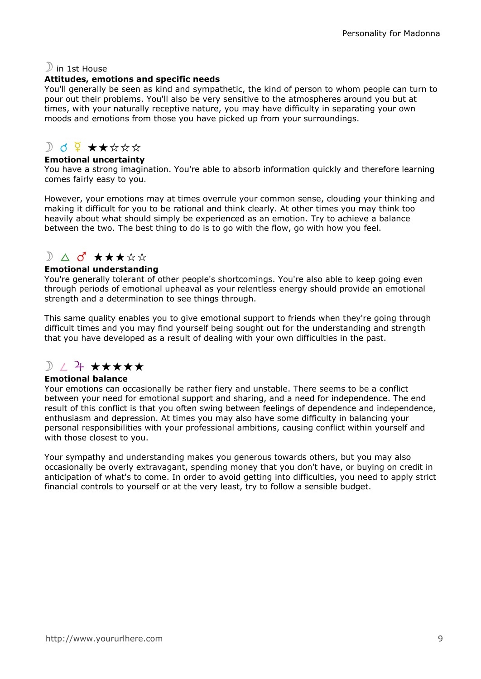## $\mathbb{D}$  in 1st House

## Attitudes, emotions and specific needs

You'll generally be seen as kind and sympathetic, the kind of person to whom people can turn to pour out their problems. You'll also be very sensitive to the atmospheres around you but at times, with your naturally receptive nature, you may have difficulty in separating your own moods and emotions from those you have picked up from your surroundings.

## $D$  d  $9 + x x x x$

## Emotional uncertainty

You have a strong imagination. You're able to absorb information quickly and therefore learning comes fairly easy to you.

However, your emotions may at times overrule your common sense, clouding your thinking and making it difficult for you to be rational and think clearly. At other times you may think too heavily about what should simply be experienced as an emotion. Try to achieve a balance between the two. The best thing to do is to go with the flow, go with how you feel.

# $\sum$   $\Delta$  o  $\star$   $\star$   $\star$   $\star$   $\star$   $\star$

## Emotional understanding

You're generally tolerant of other people's shortcomings. You're also able to keep going even through periods of emotional upheaval as your relentless energy should provide an emotional strength and a determination to see things through.

This same quality enables you to give emotional support to friends when they're going through difficult times and you may find yourself being sought out for the understanding and strength that you have developed as a result of dealing with your own difficulties in the past.

# $\mathbb{R}$  /  $\mathbb{R}$  \*\*\*\*\*

## Emotional balance

Your emotions can occasionally be rather fiery and unstable. There seems to be a conflict between your need for emotional support and sharing, and a need for independence. The end result of this conflict is that you often swing between feelings of dependence and independence, enthusiasm and depression. At times you may also have some difficulty in balancing your personal responsibilities with your professional ambitions, causing conflict within yourself and with those closest to you.

Your sympathy and understanding makes you generous towards others, but you may also occasionally be overly extravagant, spending money that you don't have, or buying on credit in anticipation of what's to come. In order to avoid getting into difficulties, you need to apply strict financial controls to yourself or at the very least, try to follow a sensible budget.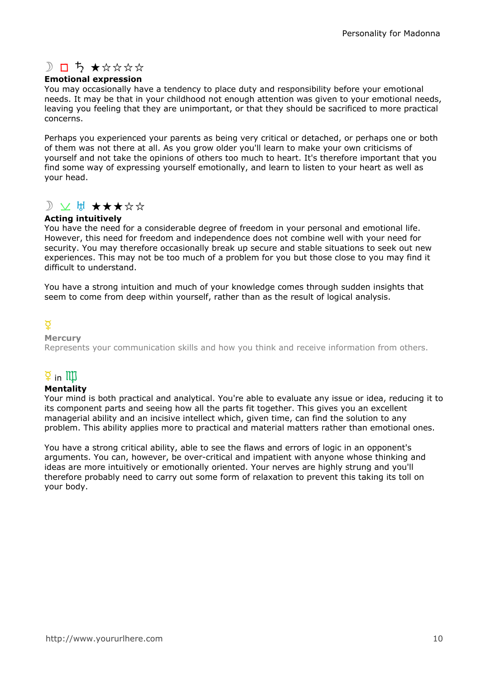# $D$   $D$   $5$   $\star$   $\star$   $\star$   $\star$   $\star$

## Emotional expression

You may occasionally have a tendency to place duty and responsibility before your emotional needs. It may be that in your childhood not enough attention was given to your emotional needs, leaving you feeling that they are unimportant, or that they should be sacrificed to more practical concerns.

Perhaps you experienced your parents as being very critical or detached, or perhaps one or both of them was not there at all. As you grow older you'll learn to make your own criticisms of yourself and not take the opinions of others too much to heart. It's therefore important that you find some way of expressing yourself emotionally, and learn to listen to your heart as well as your head.

## D V H \*\*\*\*\*

## Acting intuitively

You have the need for a considerable degree of freedom in your personal and emotional life. However, this need for freedom and independence does not combine well with your need for security. You may therefore occasionally break up secure and stable situations to seek out new experiences. This may not be too much of a problem for you but those close to you may find it difficult to understand.

You have a strong intuition and much of your knowledge comes through sudden insights that seem to come from deep within yourself, rather than as the result of logical analysis.

## $\overline{Q}$

#### **Mercury**

Represents your communication skills and how you think and receive information from others.

# $\overline{2}$  in  $\overline{111}$

## Mentality

Your mind is both practical and analytical. You're able to evaluate any issue or idea, reducing it to its component parts and seeing how all the parts fit together. This gives you an excellent managerial ability and an incisive intellect which, given time, can find the solution to any problem. This ability applies more to practical and material matters rather than emotional ones.

You have a strong critical ability, able to see the flaws and errors of logic in an opponent's arguments. You can, however, be over-critical and impatient with anyone whose thinking and ideas are more intuitively or emotionally oriented. Your nerves are highly strung and you'll therefore probably need to carry out some form of relaxation to prevent this taking its toll on your body.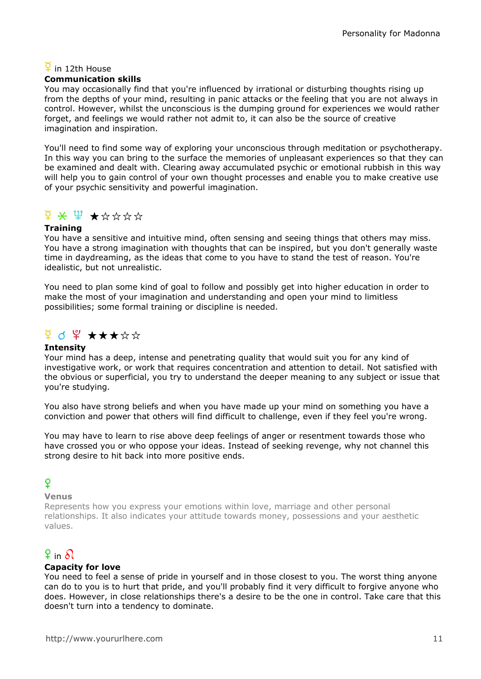## $\overline{2}$  in 12th House

## Communication skills

You may occasionally find that you're influenced by irrational or disturbing thoughts rising up from the depths of your mind, resulting in panic attacks or the feeling that you are not always in control. However, whilst the unconscious is the dumping ground for experiences we would rather forget, and feelings we would rather not admit to, it can also be the source of creative imagination and inspiration.

You'll need to find some way of exploring your unconscious through meditation or psychotherapy. In this way you can bring to the surface the memories of unpleasant experiences so that they can be examined and dealt with. Clearing away accumulated psychic or emotional rubbish in this way will help you to gain control of your own thought processes and enable you to make creative use of your psychic sensitivity and powerful imagination.

# $\frac{1}{2}$   $\times$   $\frac{1}{2}$   $\times$   $\frac{1}{2}$   $\times$   $\frac{1}{2}$   $\times$   $\frac{1}{2}$   $\times$   $\frac{1}{2}$   $\times$   $\frac{1}{2}$   $\times$   $\frac{1}{2}$   $\times$   $\frac{1}{2}$   $\times$   $\frac{1}{2}$   $\times$   $\frac{1}{2}$   $\times$   $\frac{1}{2}$   $\times$   $\frac{1}{2}$   $\times$   $\frac{1}{2}$   $\times$   $\frac{1}{2}$

## **Training**

You have a sensitive and intuitive mind, often sensing and seeing things that others may miss. You have a strong imagination with thoughts that can be inspired, but you don't generally waste time in daydreaming, as the ideas that come to you have to stand the test of reason. You're idealistic, but not unrealistic.

You need to plan some kind of goal to follow and possibly get into higher education in order to make the most of your imagination and understanding and open your mind to limitless possibilities; some formal training or discipline is needed.

# $9$  d  $9$   $\star\star\star\star\star$

## Intensity

Your mind has a deep, intense and penetrating quality that would suit you for any kind of investigative work, or work that requires concentration and attention to detail. Not satisfied with the obvious or superficial, you try to understand the deeper meaning to any subject or issue that you're studying.

You also have strong beliefs and when you have made up your mind on something you have a conviction and power that others will find difficult to challenge, even if they feel you're wrong.

You may have to learn to rise above deep feelings of anger or resentment towards those who have crossed you or who oppose your ideas. Instead of seeking revenge, why not channel this strong desire to hit back into more positive ends.

## $\mathsf{Q}$

## Venus

Represents how you express your emotions within love, marriage and other personal relationships. It also indicates your attitude towards money, possessions and your aesthetic values.

# $9$  in  $9$

## Capacity for love

You need to feel a sense of pride in yourself and in those closest to you. The worst thing anyone can do to you is to hurt that pride, and you'll probably find it very difficult to forgive anyone who does. However, in close relationships there's a desire to be the one in control. Take care that this doesn't turn into a tendency to dominate.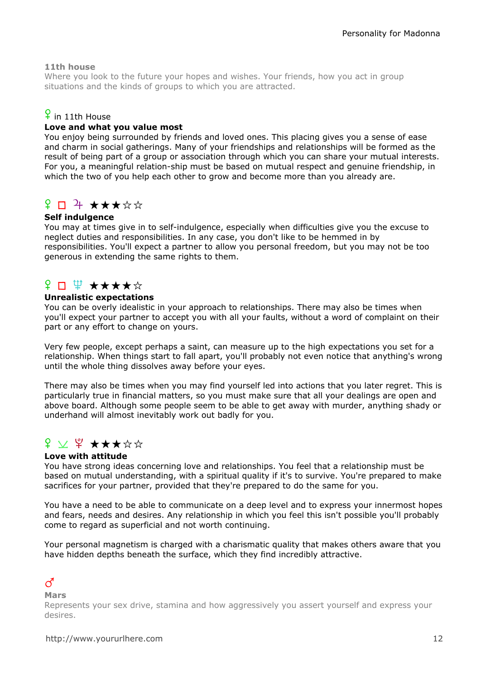## 11th house

Where you look to the future your hopes and wishes. Your friends, how you act in group situations and the kinds of groups to which you are attracted.

## $\frac{6}{5}$  in 11th House

## Love and what you value most

You enjoy being surrounded by friends and loved ones. This placing gives you a sense of ease and charm in social gatherings. Many of your friendships and relationships will be formed as the result of being part of a group or association through which you can share your mutual interests. For you, a meaningful relation-ship must be based on mutual respect and genuine friendship, in which the two of you help each other to grow and become more than you already are.

## $\Omega \Box$  + \*\*\*\*\*

## Self indulgence

You may at times give in to self-indulgence, especially when difficulties give you the excuse to neglect duties and responsibilities. In any case, you don't like to be hemmed in by responsibilities. You'll expect a partner to allow you personal freedom, but you may not be too generous in extending the same rights to them.

## <del>ያ</del> □ \ ★★★★☆

#### Unrealistic expectations

You can be overly idealistic in your approach to relationships. There may also be times when you'll expect your partner to accept you with all your faults, without a word of complaint on their part or any effort to change on yours.

Very few people, except perhaps a saint, can measure up to the high expectations you set for a relationship. When things start to fall apart, you'll probably not even notice that anything's wrong until the whole thing dissolves away before your eyes.

There may also be times when you may find yourself led into actions that you later regret. This is particularly true in financial matters, so you must make sure that all your dealings are open and above board. Although some people seem to be able to get away with murder, anything shady or underhand will almost inevitably work out badly for you.

# $f$   $\vee$   $f$   $\star$   $\star$   $\star$   $\star$   $\star$

#### Love with attitude

You have strong ideas concerning love and relationships. You feel that a relationship must be based on mutual understanding, with a spiritual quality if it's to survive. You're prepared to make sacrifices for your partner, provided that they're prepared to do the same for you.

You have a need to be able to communicate on a deep level and to express your innermost hopes and fears, needs and desires. Any relationship in which you feel this isn't possible you'll probably come to regard as superficial and not worth continuing.

Your personal magnetism is charged with a charismatic quality that makes others aware that you have hidden depths beneath the surface, which they find incredibly attractive.

## $\vec{C}$

Mars

Represents your sex drive, stamina and how aggressively you assert yourself and express your desires.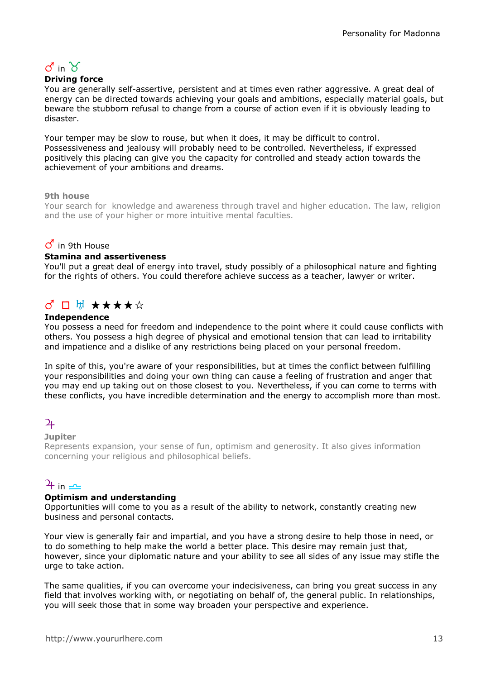# $\sigma$  in  $\gamma$

## Driving force

You are generally self-assertive, persistent and at times even rather aggressive. A great deal of energy can be directed towards achieving your goals and ambitions, especially material goals, but beware the stubborn refusal to change from a course of action even if it is obviously leading to disaster.

Your temper may be slow to rouse, but when it does, it may be difficult to control. Possessiveness and jealousy will probably need to be controlled. Nevertheless, if expressed positively this placing can give you the capacity for controlled and steady action towards the achievement of your ambitions and dreams.

## 9th house

Your search for knowledge and awareness through travel and higher education. The law, religion and the use of your higher or more intuitive mental faculties.

## $\sigma$  in 9th House

#### Stamina and assertiveness

You'll put a great deal of energy into travel, study possibly of a philosophical nature and fighting for the rights of others. You could therefore achieve success as a teacher, lawyer or writer.

# ♂□ H ★★★★☆

## Independence

You possess a need for freedom and independence to the point where it could cause conflicts with others. You possess a high degree of physical and emotional tension that can lead to irritability and impatience and a dislike of any restrictions being placed on your personal freedom.

In spite of this, you're aware of your responsibilities, but at times the conflict between fulfilling your responsibilities and doing your own thing can cause a feeling of frustration and anger that you may end up taking out on those closest to you. Nevertheless, if you can come to terms with these conflicts, you have incredible determination and the energy to accomplish more than most.

## $\overline{2}$

#### **Jupiter**

Represents expansion, your sense of fun, optimism and generosity. It also gives information concerning your religious and philosophical beliefs.

## $\frac{1}{\pm}$  in  $\frac{1}{\pm}$

#### Optimism and understanding

Opportunities will come to you as a result of the ability to network, constantly creating new business and personal contacts.

Your view is generally fair and impartial, and you have a strong desire to help those in need, or to do something to help make the world a better place. This desire may remain just that, however, since your diplomatic nature and your ability to see all sides of any issue may stifle the urge to take action.

The same qualities, if you can overcome your indecisiveness, can bring you great success in any field that involves working with, or negotiating on behalf of, the general public. In relationships, you will seek those that in some way broaden your perspective and experience.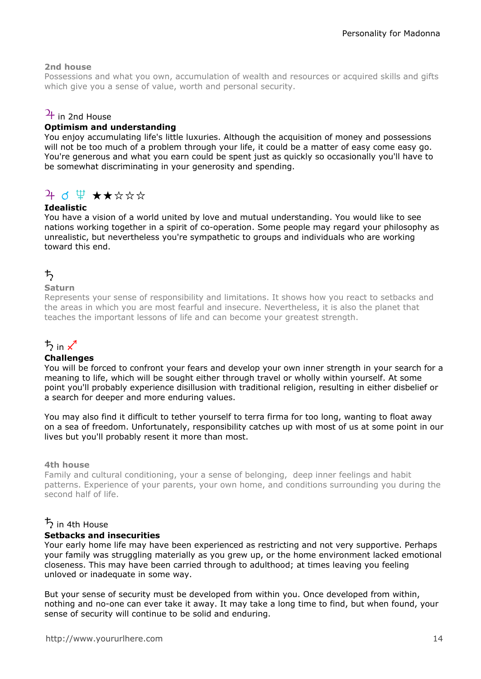## 2nd house

Possessions and what you own, accumulation of wealth and resources or acquired skills and gifts which give you a sense of value, worth and personal security.

## $\frac{1}{4}$  in 2nd House

## Optimism and understanding

You enjoy accumulating life's little luxuries. Although the acquisition of money and possessions will not be too much of a problem through your life, it could be a matter of easy come easy go. You're generous and what you earn could be spent just as quickly so occasionally you'll have to be somewhat discriminating in your generosity and spending.

# $4$  d  $4$   $\star\star\star\star\star$

## Idealistic

You have a vision of a world united by love and mutual understanding. You would like to see nations working together in a spirit of co-operation. Some people may regard your philosophy as unrealistic, but nevertheless you're sympathetic to groups and individuals who are working toward this end.

## $\uparrow$

## Saturn

Represents your sense of responsibility and limitations. It shows how you react to setbacks and the areas in which you are most fearful and insecure. Nevertheless, it is also the planet that teaches the important lessons of life and can become your greatest strength.

# $\frac{1}{2}$  in  $\chi^4$

#### **Challenges**

You will be forced to confront your fears and develop your own inner strength in your search for a meaning to life, which will be sought either through travel or wholly within yourself. At some point you'll probably experience disillusion with traditional religion, resulting in either disbelief or a search for deeper and more enduring values.

You may also find it difficult to tether yourself to terra firma for too long, wanting to float away on a sea of freedom. Unfortunately, responsibility catches up with most of us at some point in our lives but you'll probably resent it more than most.

#### 4th house

Family and cultural conditioning, your a sense of belonging, deep inner feelings and habit patterns. Experience of your parents, your own home, and conditions surrounding you during the second half of life.

## $\frac{1}{2}$  in 4th House

#### Setbacks and insecurities

Your early home life may have been experienced as restricting and not very supportive. Perhaps your family was struggling materially as you grew up, or the home environment lacked emotional closeness. This may have been carried through to adulthood; at times leaving you feeling unloved or inadequate in some way.

But your sense of security must be developed from within you. Once developed from within, nothing and no-one can ever take it away. It may take a long time to find, but when found, your sense of security will continue to be solid and enduring.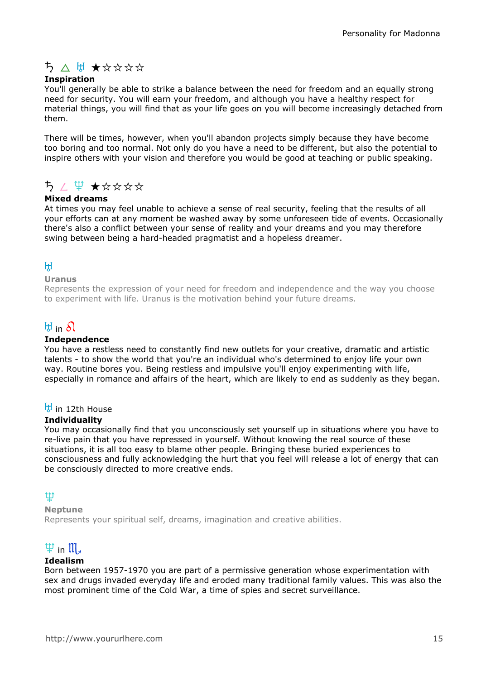# ち ∧ は ★☆☆☆☆

## Inspiration

You'll generally be able to strike a balance between the need for freedom and an equally strong need for security. You will earn your freedom, and although you have a healthy respect for material things, you will find that as your life goes on you will become increasingly detached from them.

There will be times, however, when you'll abandon projects simply because they have become too boring and too normal. Not only do you have a need to be different, but also the potential to inspire others with your vision and therefore you would be good at teaching or public speaking.

# $52 \not\equiv 72.7$

## Mixed dreams

At times you may feel unable to achieve a sense of real security, feeling that the results of all your efforts can at any moment be washed away by some unforeseen tide of events. Occasionally there's also a conflict between your sense of reality and your dreams and you may therefore swing between being a hard-headed pragmatist and a hopeless dreamer.

## $H$

#### Uranus

Represents the expression of your need for freedom and independence and the way you choose to experiment with life. Uranus is the motivation behind your future dreams.

## $H$  in  $\Omega$

#### Independence

You have a restless need to constantly find new outlets for your creative, dramatic and artistic talents - to show the world that you're an individual who's determined to enjoy life your own way. Routine bores you. Being restless and impulsive you'll enjoy experimenting with life, especially in romance and affairs of the heart, which are likely to end as suddenly as they began.

## $\frac{H}{V}$  in 12th House

#### **Individuality**

You may occasionally find that you unconsciously set yourself up in situations where you have to re-live pain that you have repressed in yourself. Without knowing the real source of these situations, it is all too easy to blame other people. Bringing these buried experiences to consciousness and fully acknowledging the hurt that you feel will release a lot of energy that can be consciously directed to more creative ends.

## l

### Neptune

Represents your spiritual self, dreams, imagination and creative abilities.

# $\Psi$  in  $\mathfrak{m}_4$

#### Idealism

Born between 1957-1970 you are part of a permissive generation whose experimentation with sex and drugs invaded everyday life and eroded many traditional family values. This was also the most prominent time of the Cold War, a time of spies and secret surveillance.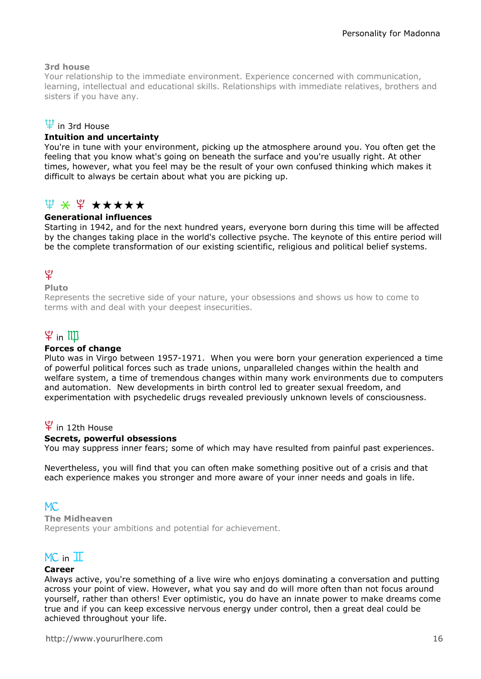## 3rd house

Your relationship to the immediate environment. Experience concerned with communication, learning, intellectual and educational skills. Relationships with immediate relatives, brothers and sisters if you have any.

## $\Psi$  in 3rd House

## Intuition and uncertainty

You're in tune with your environment, picking up the atmosphere around you. You often get the feeling that you know what's going on beneath the surface and you're usually right. At other times, however, what you feel may be the result of your own confused thinking which makes it difficult to always be certain about what you are picking up.

## $\Psi \times \Psi \star \star \star \star \star$

## Generational influences

Starting in 1942, and for the next hundred years, everyone born during this time will be affected by the changes taking place in the world's collective psyche. The keynote of this entire period will be the complete transformation of our existing scientific, religious and political belief systems.

## ত্

## Pluto

Represents the secretive side of your nature, your obsessions and shows us how to come to terms with and deal with your deepest insecurities.

# $\mathfrak{P}$  in  $\mathbb{I} \mathbb{I}$

#### Forces of change

Pluto was in Virgo between 1957-1971. When you were born your generation experienced a time of powerful political forces such as trade unions, unparalleled changes within the health and welfare system, a time of tremendous changes within many work environments due to computers and automation. New developments in birth control led to greater sexual freedom, and experimentation with psychedelic drugs revealed previously unknown levels of consciousness.

## $\Psi$  in 12th House

#### Secrets, powerful obsessions

You may suppress inner fears; some of which may have resulted from painful past experiences.

Nevertheless, you will find that you can often make something positive out of a crisis and that each experience makes you stronger and more aware of your inner needs and goals in life.

## $MC.$

The Midheaven Represents your ambitions and potential for achievement.

## $MC$  in  $T$

## Career

Always active, you're something of a live wire who enjoys dominating a conversation and putting across your point of view. However, what you say and do will more often than not focus around yourself, rather than others! Ever optimistic, you do have an innate power to make dreams come true and if you can keep excessive nervous energy under control, then a great deal could be achieved throughout your life.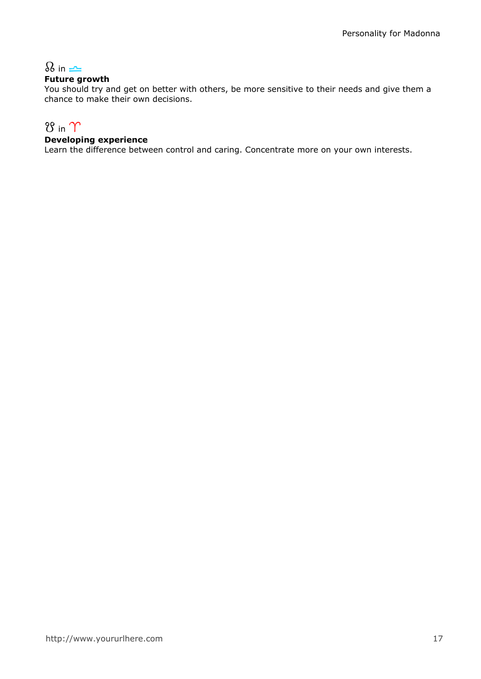# $\Omega$  in  $\rightleftharpoons$

## Future growth

You should try and get on better with others, be more sensitive to their needs and give them a chance to make their own decisions.

# $8$  in  $\gamma$

## Developing experience

Learn the difference between control and caring. Concentrate more on your own interests.